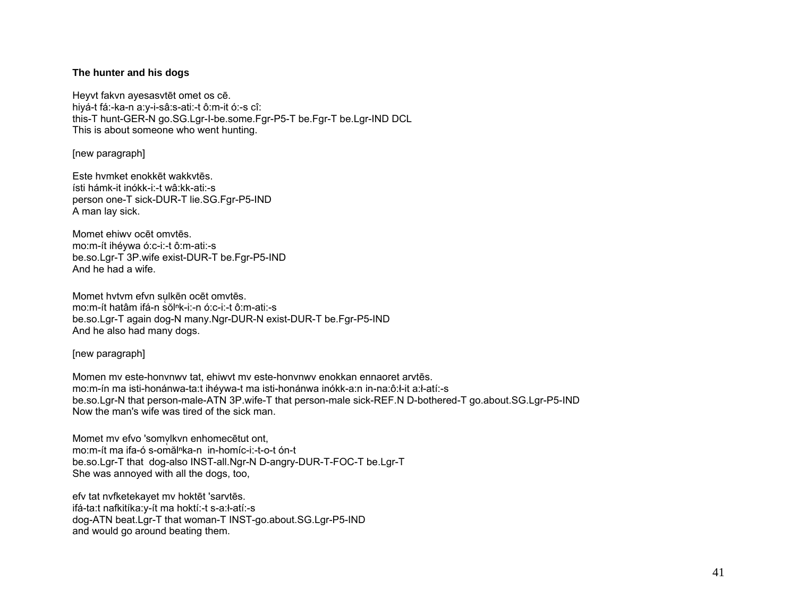## The hunter and his dogs

Heyvt fakvn ayesasytēt omet os cē. hiyá-t fá:-ka-n a:y-i-sâ:s-ati:-t ô:m-it ó:-s cî: this-T hunt-GER-N go.SG.Lgr-I-be.some.Fgr-P5-T be.Fgr-T be.Lgr-IND DCL This is about someone who went hunting.

[new paragraph]

Este hymket enokkēt wakkytēs. ísti hámk-it inókk-i:-t wâ:kk-ati:-s person one-T sick-DUR-T lie.SG.Fgr-P5-IND A man lay sick.

Momet ehiwy ocet omytes mo:m-ít ihéywa ó:c-i:-t ô:m-ati:-s be.so.Lgr-T 3P.wife exist-DUR-T be.Fgr-P5-IND And he had a wife

Momet hytym efyn sulkēn ocēt omytēs. mo:m-ít hatâm ifá-n sŏlnk-i:-n ó:c-i:-t ô:m-ati:-s be.so.Lgr-T again dog-N many.Ngr-DUR-N exist-DUR-T be.Fgr-P5-IND And he also had many dogs.

[new paragraph]

Momen my este-honynwy tat, ehiwyt my este-honynwy enokkan ennaoret arytēs. mo:m-ín ma isti-honánwa-ta:t ihévwa-t ma isti-honánwa inókk-a:n in-na:ô:l-it a:l-atí:-s be.so.Lgr-N that person-male-ATN 3P.wife-T that person-male sick-REF.N D-bothered-T go.about.SG.Lgr-P5-IND Now the man's wife was tired of the sick man.

Momet my efvo 'somylkyn enhomecetut ont. mo:m-ít ma ifa-ó s-omăl<sup>n</sup>ka-n in-homíc-i:-t-o-t ón-t be.so.Lgr-T that dog-also INST-all.Ngr-N D-angry-DUR-T-FOC-T be.Lgr-T She was annoyed with all the dogs, too,

efv tat nyfketekayet my hoktēt 'sarvtēs. ifá-ta:t nafkitíka:y-ít ma hoktí:-t s-a:ł-atí:-s dog-ATN beat.Lgr-T that woman-T INST-go.about.SG.Lgr-P5-IND and would go around beating them.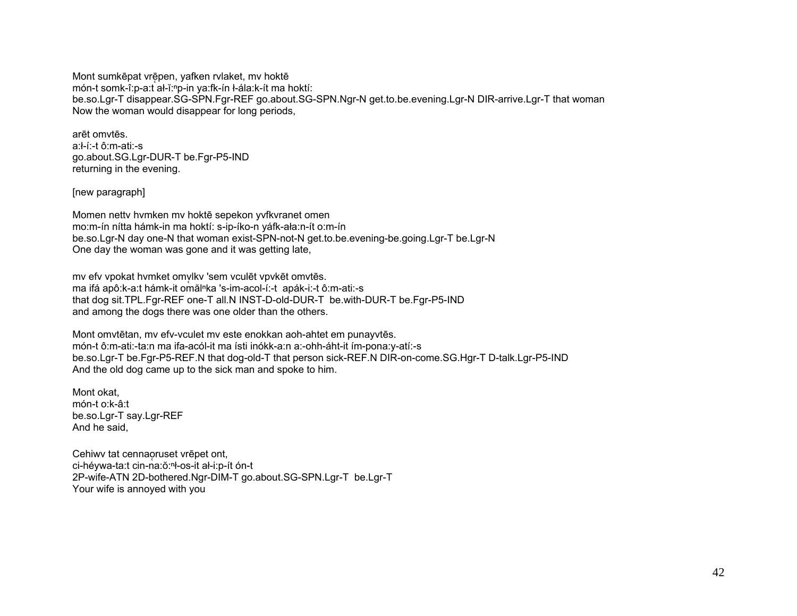Mont sumkēpat vrēpen, yafken rvlaket, mv hoktē món-t somk-î:p-a:t ał-ĭ:<sup>n</sup>p-in ya:fk-ín ł-ála:k-ít ma hoktí: be.so.Lgr-T disappear.SG-SPN.Fgr-REF go.about.SG-SPN.Ngr-N get.to.be.evening.Lgr-N DIR-arrive.Lgr-T that woman Now the woman would disappear for long periods,

arēt omvtēs. a:ł-í:-t ô:m-ati:-s go.about.SG.Lgr-DUR-T be.Fgr-P5-IND returning in the evening.

[new paragraph]

Momen nettv hvmken mv hoktē sepekon yvfkvranet omen mo:m-ín nítta hámk-in ma hoktí: s-ip-íko-n yáfk-ała:n-ít o:m-ín be.so.Lgr-N day one-N that woman exist-SPN-not-N get.to.be.evening-be.going.Lgr-T be.Lgr-N One day the woman was gone and it was getting late,

mv efv vpokat hvmket omvlkv 'sem vculēt vpvkēt omvtēs. ma ifá apô:k-a:t hámk-it omăl<sup>n</sup>ka 's-im-acol-í:-t apák-i:-t ô:m-ati:-s that dog sit.TPL.Fgr-REF one-T all.N INST-D-old-DUR-T be.with-DUR-T be.Fgr-P5-IND and among the dogs there was one older than the others.

Mont omvtētan, mv efv-vculet mv este enokkan aoh-ahtet em punayvtēs. món-t ô:m-ati:-ta:n ma ifa-acól-it ma ísti inókk-a:n a:-ohh-áht-it ím-pona:y-atí:-s be.so.Lgr-T be.Fgr-P5-REF.N that dog-old-T that person sick-REF.N DIR-on-come.SG.Hgr-T D-talk.Lgr-P5-IND And the old dog came up to the sick man and spoke to him.

Mont okat, món-t o:k-â:t be.so.Lgr-T say.Lgr-REF And he said,

Cehiwv tat cennaoruset vrēpet ont, ̜ ci-héywa-ta:t cin-na:ŏ:ⁿł-os-it ał-i:p-ít ón-t 2P-wife-ATN 2D-bothered.Ngr-DIM-T go.about.SG-SPN.Lgr-T be.Lgr-T Your wife is annoyed with you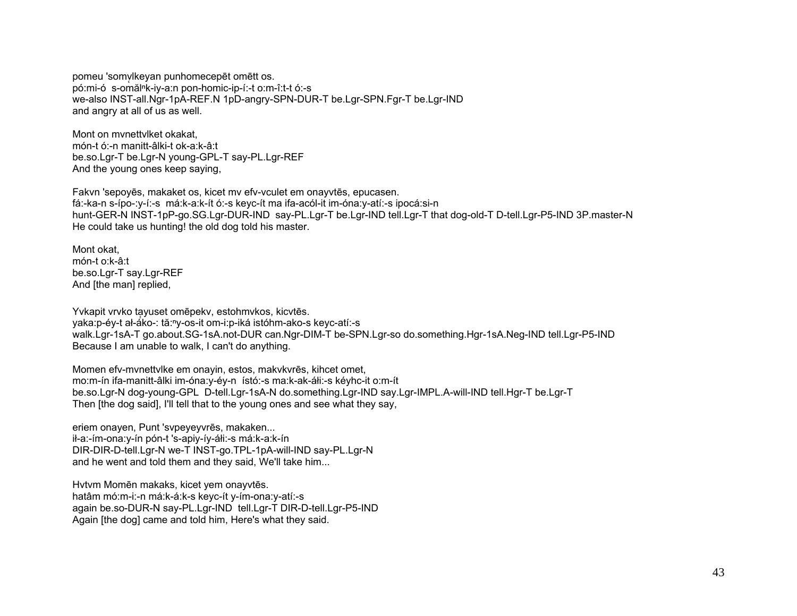pomeu 'somvikeyan punhomecepēt omētt os. pó:mi-ó s-omăl<sup>n</sup>k-iv-a:n pon-homic-ip-í:-t o:m-î:t-t ó:-s we-also INST-all.Ngr-1pA-REF.N 1pD-angry-SPN-DUR-T be.Lgr-SPN.Fgr-T be.Lgr-IND and angry at all of us as well.

Mont on mynettylket okakat. món-t ó:-n manitt-âlki-t ok-a:k-â:t be.so.Lgr-T be.Lgr-N young-GPL-T say-PL.Lgr-REF And the young ones keep saying.

Fakvn 'sepoyes, makaket os, kicet mv efv-vculet em onayytes, epucasen. fá:-ka-n s-ípo-:v-í:-s má:k-a:k-ít ó:-s keyc-ít ma ifa-acól-it im-óna:y-atí:-s ipocá:si-n hunt-GER-N INST-1pP-go.SG.Lgr-DUR-IND say-PL.Lgr-T be.Lgr-IND tell.Lgr-T that dog-old-T D-tell.Lgr-P5-IND 3P.master-N He could take us hunting! the old dog told his master.

Mont okat. món-t o:k-â:t be.so.Lgr-T say.Lgr-REF And Ithe manl replied.

Yvkapit vrvko tayuset omepeky, estohmykos, kicytēs. vaka:p-év-t ał-áko-: tă:<sup>n</sup>v-os-it om-i:p-iká istóhm-ako-s kevc-atí:-s walk.Lgr-1sA-T go.about.SG-1sA.not-DUR can.Ngr-DIM-T be-SPN.Lgr-so do.something.Hgr-1sA.Neg-IND tell.Lgr-P5-IND Because I am unable to walk, I can't do anything.

Momen efv-mynettylke em onayin, estos, makykyrēs, kihcet omet, mo:m-ín ifa-manitt-âlki im-óna:y-éy-n ístó:-s ma:k-ak-áłi:-s kéyhc-it o:m-ít be.so.Lgr-N dog-young-GPL D-tell.Lgr-1sA-N do.something.Lgr-IND say.Lgr-IMPL.A-will-IND tell.Hgr-T be.Lgr-T Then [the dog said], I'll tell that to the young ones and see what they say,

eriem onayen, Punt 'svpeyeyvres, makaken... ił-a:-ím-ona:y-ín pón-t 's-apiy-íy-áłi:-s má:k-a:k-ín DIR-DIR-D-tell.Lgr-N we-T INST-go.TPL-1pA-will-IND say-PL.Lgr-N and he went and told them and they said, We'll take him...

Hytym Momēn makaks, kicet yem onayytēs. hatâm mó:m-i:-n má:k-á:k-s keyc-ít y-ím-ona:y-atí:-s again be.so-DUR-N say-PL.Lgr-IND tell.Lgr-T DIR-D-tell.Lgr-P5-IND Again [the dog] came and told him, Here's what they said.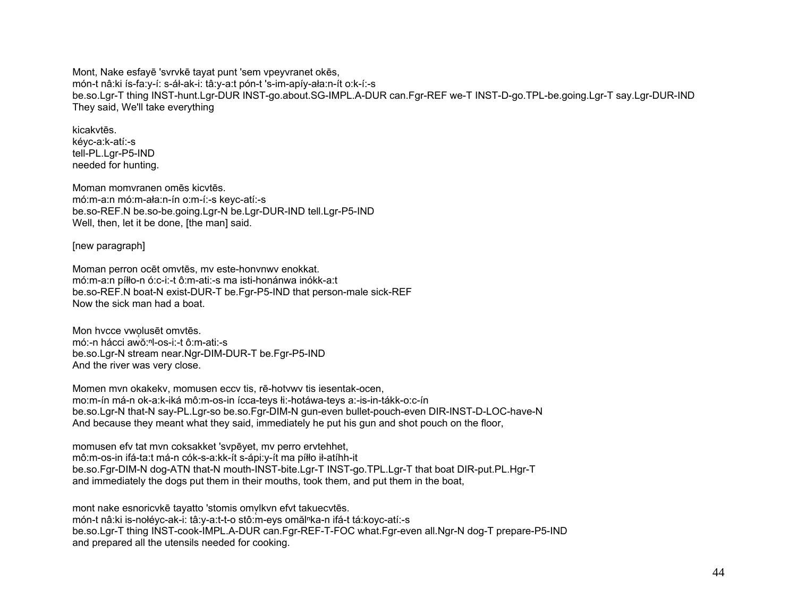Mont, Nake esfaye 'svrvke tayat punt 'sem vpeyvranet okes, món-t nâ:ki ís-fa:y-í: s-áł-ak-i: tâ:y-a:t pón-t 's-im-apíy-ała:n-ít o:k-í:-s be.so.Lgr-T thing INST-hunt.Lgr-DUR INST-go.about.SG-IMPL.A-DUR can.Fgr-REF we-T INST-D-go.TPL-be.going.Lgr-T say.Lgr-DUR-IND They said, We'll take everything

## kicakytes

kévc-a:k-atí:-s tell-PL.Lgr-P5-IND needed for hunting.

Moman momvranen omēs kicytēs. mó:m-a:n mó:m-ała:n-ín o:m-í:-s keyc-atí:-s be.so-REF.N be.so-be.going.Lgr-N be.Lgr-DUR-IND tell.Lgr-P5-IND Well, then, let it be done, [the man] said.

[new paragraph]

Moman perron ocet omvtes, my este-honynwy enokkat. mó:m-a:n píłło-n ó:c-i:-t ô:m-ati:-s ma isti-honánwa inókk-a:t be.so-REF.N boat-N exist-DUR-T be.Fgr-P5-IND that person-male sick-REF Now the sick man had a boat

Mon hycce vwolusēt omvtēs. mó:-n hácci awŏ:<sup>n</sup>l-os-i:-t ô:m-ati:-s be.so.Lgr-N stream near.Ngr-DIM-DUR-T be.Fgr-P5-IND And the river was very close.

Momen myn okakeky, momusen eccy tis, rē-hotywy tis iesentak-ocen. mo:m-ín má-n ok-a:k-iká mô:m-os-in ícca-teys łi:-hotáwa-teys a:-is-in-tákk-o:c-ín be.so.Lgr-N that-N say-PL.Lgr-so be.so.Fgr-DIM-N gun-even bullet-pouch-even DIR-INST-D-LOC-have-N And because they meant what they said, immediately he put his gun and shot pouch on the floor,

momusen efv tat myn coksakket 'sypevet, my perro erytehhet, mô:m-os-in ifá-ta:t má-n cók-s-a:kk-ít s-ápi:y-ít ma píłło ił-atíhh-it be.so.Fgr-DIM-N dog-ATN that-N mouth-INST-bite.Lgr-T INST-go.TPL.Lgr-T that boat DIR-put.PL.Hgr-T and immediately the dogs put them in their mouths, took them, and put them in the boat,

mont nake esnoricvkē tayatto 'stomis omvlkvn efvt takuecvtēs. món-t nâ:ki is-nołéyc-ak-i: tâ:y-a:t-t-o stô:m-eys omăl<sup>n</sup>ka-n ifá-t tá:koyc-atí:-s be.so.Lgr-T thing INST-cook-IMPL.A-DUR can.Fgr-REF-T-FOC what.Fgr-even all.Ngr-N dog-T prepare-P5-IND and prepared all the utensils needed for cooking.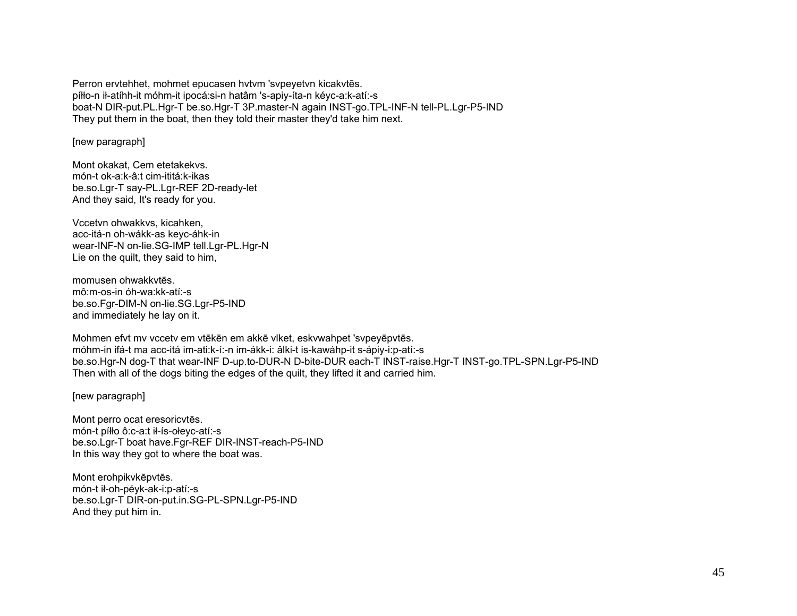Perron ervtehhet, mohmet epucasen hytym 'sypeyetyn kicakytēs. píłło-n ił-atíhh-it móhm-it ipocá: si-n hatâm 's-apiy-íta-n kéyc-a: k-atí:-s boat-N DIR-put.PL.Hgr-T be.so.Hgr-T 3P.master-N again INST-go.TPL-INF-N tell-PL.Lgr-P5-IND They put them in the boat, then they told their master they'd take him next.

[new paragraph]

Mont okakat. Cem etetakekys. món-t ok-a:k-â:t cim-ititá:k-ikas be.so.Lgr-T say-PL.Lgr-REF 2D-ready-let And they said, It's ready for you.

Vccetvn ohwakkvs, kicahken, acc-itá-n oh-wákk-as keyc-áhk-in wear-INF-N on-lie.SG-IMP tell.Lgr-PL.Hgr-N Lie on the quilt, they said to him,

momusen ohwakkytes. mô:m-os-in óh-wa:kk-atí:-s be.so.Fqr-DIM-N on-lie.SG.Lqr-P5-IND and immediately he lay on it.

Mohmen efyt my vccety em vtēkēn em akkē viket, eskywahpet 'sypeyēpytēs. móhm-in ifá-t ma acc-itá im-ati:k-í:-n im-ákk-i: âlki-t is-kawáhp-it s-ápiy-i:p-atí:-s be.so.Hgr-N dog-T that wear-INF D-up.to-DUR-N D-bite-DUR each-T INST-raise.Hgr-T INST-go.TPL-SPN.Lgr-P5-IND Then with all of the dogs biting the edges of the guilt, they lifted it and carried him.

[new paragraph]

Mont perro ocat eresoricytes. món-t píłło ô:c-a:t ił-ís-ołeyc-atí:-s be.so.Lgr-T boat have.Fgr-REF DIR-INST-reach-P5-IND In this way they got to where the boat was.

Mont erohpikvkēpvtēs. món-t ił-oh-péyk-ak-i:p-atí:-s be.so.Lgr-T DIR-on-put.in.SG-PL-SPN.Lgr-P5-IND And they put him in.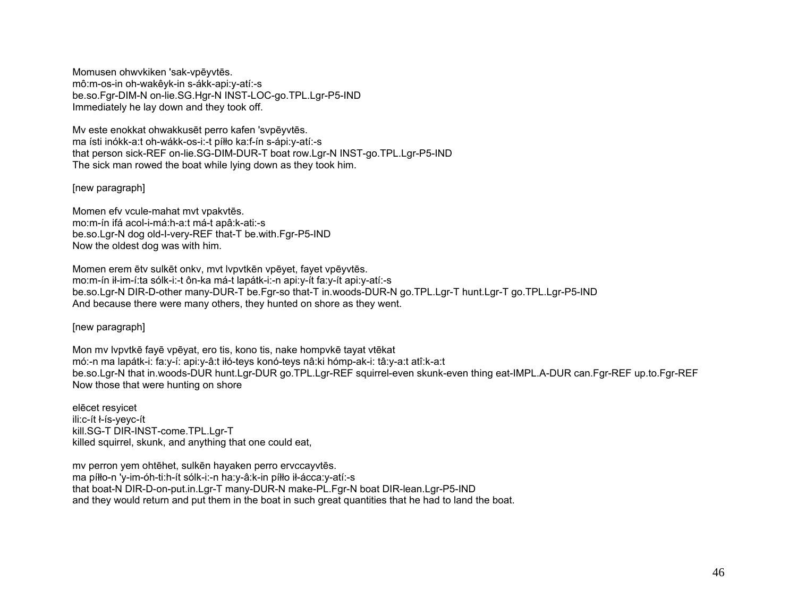Momusen ohwvkiken 'sak-vpēyvtēs. mô:m-os-in oh-wakêyk-in s-ákk-api:y-atí:-s be.so.Fgr-DIM-N on-lie.SG.Hgr-N INST-LOC-go.TPL.Lgr-P5-IND Immediately he lay down and they took off.

Mv este enokkat ohwakkusēt perro kafen 'svpēyvtēs. ma ísti inókk-a:t oh-wákk-os-i:-t píłło ka:f-ín s-ápi:y-atí:-s that person sick-REF on-lie.SG-DIM-DUR-T boat row.Lgr-N INST-go.TPL.Lgr-P5-IND The sick man rowed the boat while lying down as they took him.

[new paragraph]

Momen efv vcule-mahat mvt vpakvtēs. mo:m-ín ifá acol-i-má:h-a:t má-t apâ:k-ati:-s be.so.Lgr-N dog old-I-very-REF that-T be.with.Fgr-P5-IND Now the oldest dog was with him.

Momen erem ētv sulkēt onkv, mvt lvpvtkēn vpēyet, fayet vpēyvtēs. mo:m-ín ił-im-í:ta sólk-i:-t ôn-ka má-t lapátk-i:-n api:y-ít fa:y-ít api:y-atí:-s be.so.Lgr-N DIR-D-other many-DUR-T be.Fgr-so that-T in.woods-DUR-N go.TPL.Lgr-T hunt.Lgr-T go.TPL.Lgr-P5-IND And because there were many others, they hunted on shore as they went.

[new paragraph]

Mon mv lvpvtkē fayē vpēyat, ero tis, kono tis, nake hompvkē tayat vtēkat mó:-n ma lapátk-i: fa:y-í: api:y-â:t iłó-teys konó-teys nâ:ki hómp-ak-i: tâ:y-a:t atî:k-a:t be.so.Lgr-N that in.woods-DUR hunt.Lgr-DUR go.TPL.Lgr-REF squirrel-even skunk-even thing eat-IMPL.A-DUR can.Fgr-REF up.to.Fgr-REF Now those that were hunting on shore

elēcet resyicet ili:c-ít ł-ís-yeyc-ít kill.SG-T DIR-INST-come.TPL.Lgr-T killed squirrel, skunk, and anything that one could eat,

mv perron yem ohtēhet, sulkēn hayaken perro ervccayvtēs. ma píłło-n 'y-im-óh-ti:h-ít sólk-i:-n ha:y-â:k-in píłło ił-ácca:y-atí:-s that boat-N DIR-D-on-put.in.Lgr-T many-DUR-N make-PL.Fgr-N boat DIR-lean.Lgr-P5-IND and they would return and put them in the boat in such great quantities that he had to land the boat.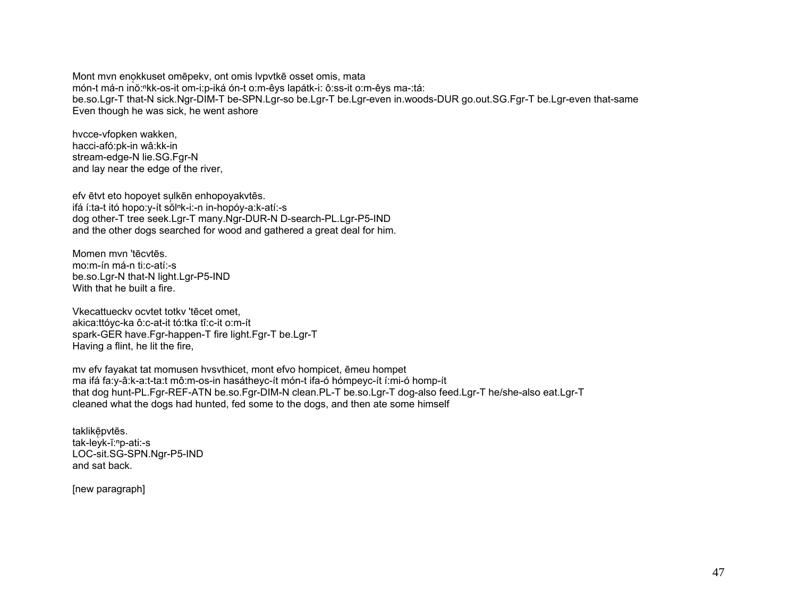Mont myn enokkuset omēpeky, ont omis lypytkē osset omis, mata món-t má-n inő:<sup>n</sup>kk-os-it om-i:p-iká ón-t o:m-êys lapátk-i: ô:ss-it o:m-êys ma-:tá: be.so.Lgr-T that-N sick.Ngr-DIM-T be-SPN.Lgr-so be.Lgr-T be.Lgr-even in.woods-DUR go.out.SG.Fgr-T be.Lgr-even that-same Even though he was sick, he went ashore

hvcce-vfopken wakken. hacci-afó:pk-in wâ:kk-in stream-edge-N lie.SG.Fgr-N and lay near the edge of the river.

efv ētvt eto hopovet sulkēn enhopovakvtēs. ifá í:ta-t itó hopo:y-ít sŏl<sup>n</sup>k-i:-n in-hopóy-a:k-atí:-s dog other-T tree seek.Lgr-T many.Ngr-DUR-N D-search-PL.Lgr-P5-IND and the other dogs searched for wood and gathered a great deal for him.

Momen myn 'tēcytēs. mo:m-ín má-n ti:c-atí:-s be.so.Lgr-N that-N light.Lgr-P5-IND With that he built a fire.

Vkecattuecky ocytet totky 'tecet omet, akica:ttóyc-ka ô:c-at-it tó:tka tî:c-it o:m-ít spark-GER have.Fgr-happen-T fire light.Fgr-T be.Lgr-T Having a flint, he lit the fire,

my efy fayakat tat momusen hysythicet, mont efyo hompicet, emeu hompet ma ifá fa:y-â:k-a:t-ta:t mô:m-os-in hasátheyc-ít món-t ifa-ó hómpeyc-ít í:mi-ó homp-ít that dog hunt-PL.Fgr-REF-ATN be.so.Fgr-DIM-N clean.PL-T be.so.Lgr-T dog-also feed.Lgr-T he/she-also eat.Lgr-T cleaned what the dogs had hunted, fed some to the dogs, and then ate some himself

taklikēpvtēs. tak-leyk-ĭ:<sup>n</sup>p-ati:-s LOC-sit.SG-SPN.Ngr-P5-IND and sat back.

[new paragraph]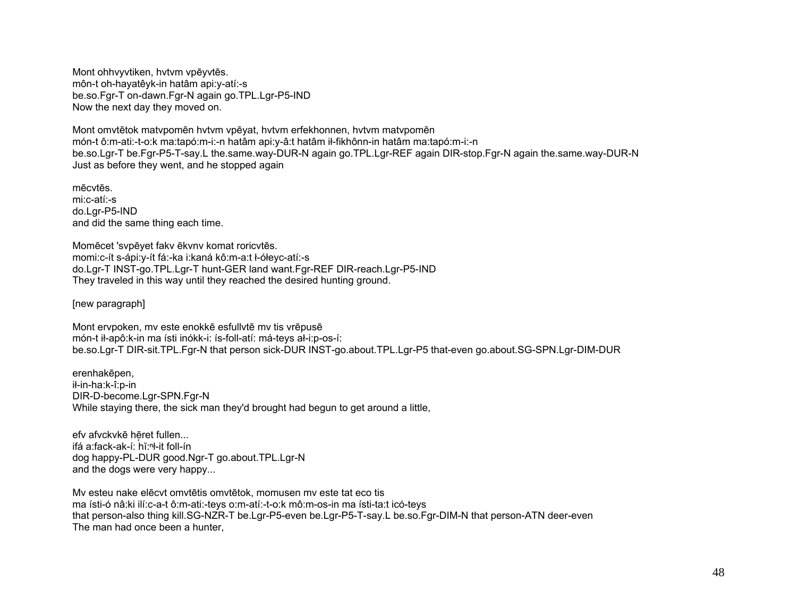Mont ohhvyvtiken, hvtvm vpēyvtēs. môn-t oh-hayatêyk-in hatâm api:y-atí:-s be.so.Fgr-T on-dawn.Fgr-N again go.TPL.Lgr-P5-IND Now the next day they moved on.

Mont omvtētok matvpomēn hvtvm vpēyat, hvtvm erfekhonnen, hvtvm matvpomē<sup>n</sup> món-t ô:m-ati:-t-o:k ma:tapó:m-i:-n hatâm api:y-â:t hatâm ił-fikhônn-in hatâm ma:tapó:m-i:-n be.so.Lgr-T be.Fgr-P5-T-say.L the.same.way-DUR-N again go.TPL.Lgr-REF again DIR-stop.Fgr-N again the.same.way-DUR-N Just as before they went, and he stopped again

mēcvtēs. mi:c-atí:-s do.Lgr-P5-IND and did the same thing each time.

Momēcet 'svpēyet fakv ēkvnv komat roricvtēs. momi:c-ít s-ápi:y-ít fá:-ka i:kaná kô:m-a:t ł-ółeyc-atí:-s do.Lgr-T INST-go.TPL.Lgr-T hunt-GER land want.Fgr-REF DIR-reach.Lgr-P5-IND They traveled in this way until they reached the desired hunting ground.

[new paragraph]

Mont ervpoken, mv este enokkē esfullvtē mv tis vrēpusē món-t ił-apô:k-in ma ísti inókk-i: ís-foll-atí: má-teys ał-i:p-os-í: be.so.Lgr-T DIR-sit.TPL.Fgr-N that person sick-DUR INST-go.about.TPL.Lgr-P5 that-even go.about.SG-SPN.Lgr-DIM-DUR

erenhakēpen, ił-in-ha:k-î:p-in DIR-D-become.Lgr-SPN.Fgr-N While staying there, the sick man they'd brought had begun to get around a little,

efv afvckvkē hēret fullen... ̜ ifá a:fack-ak-í: hĭ:ⁿł-it foll-ín dog happy-PL-DUR good.Ngr-T go.about.TPL.Lgr-N and the dogs were very happy...

Mv esteu nake elēcvt omvtētis omvtētok, momusen mv este tat eco tis ma ísti-ó nâ:ki ilí:c-a-t ô:m-ati:-teys o:m-atí:-t-o:k mô:m-os-in ma ísti-ta:t icó-teys that person-also thing kill.SG-NZR-T be.Lgr-P5-even be.Lgr-P5-T-say.L be.so.Fgr-DIM-N that person-ATN deer-even The man had once been a hunter,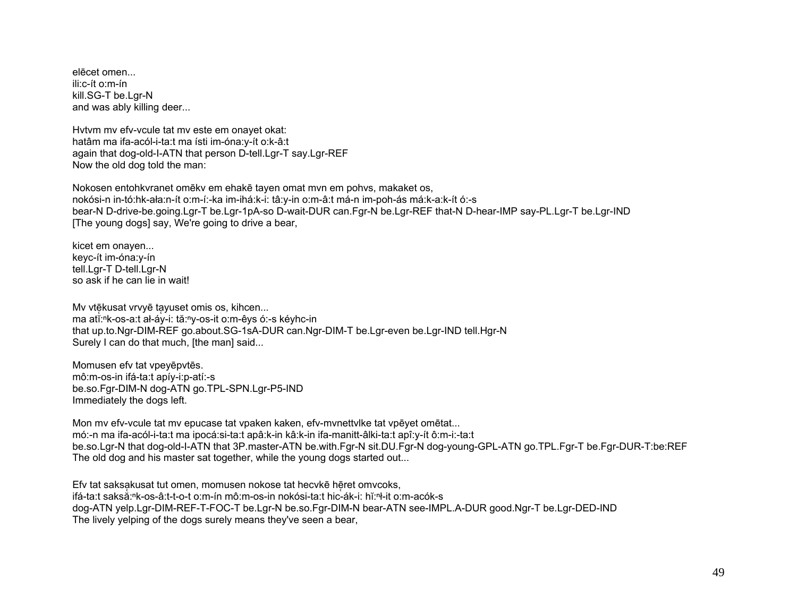elēcet omen... ili:c-ít o:m-ín kill.SG-T be.Lar-N and was ably killing deer...

Hytym my efv-ycule tat my este em onayet okat: hatâm ma ifa-acól-i-ta:t ma ísti im-óna:y-ít o:k-â:t again that dog-old-I-ATN that person D-tell.Lgr-T say.Lgr-REF Now the old dog told the man:

Nokosen entohkvranet omekv em ehake tayen omat myn em pohys, makaket os, nokósi-n in-tó:hk-ała:n-ít o:m-í:-ka im-ihá:k-i: tâ:y-in o:m-â:t má-n im-poh-ás má:k-a:k-ít ó:-s bear-N D-drive-be.going.Lgr-T be.Lgr-1pA-so D-wait-DUR can.Fgr-N be.Lgr-REF that-N D-hear-IMP say-PL.Lgr-T be.Lgr-IND [The young dogs] say, We're going to drive a bear,

kicet em onaven... kevc-ít im-óna: v-ín tell.Lgr-T D-tell.Lgr-N so ask if he can lie in wait!

Mv vtēkusat vrvyē tavuset omis os, kihcen... ma att:<sup>n</sup>k-os-a:t ał-áy-i: tă:<sup>n</sup>y-os-it o:m-êys ó:-s kéyhc-in that up.to.Ngr-DIM-REF go.about.SG-1sA-DUR can.Ngr-DIM-T be.Lgr-even be.Lgr-IND tell.Hgr-N Surely I can do that much, [the man] said...

Momusen efv tat vpeyepvtes. mô:m-os-in ifá-ta:t apíy-i:p-atí:-s be.so.Fgr-DIM-N dog-ATN go.TPL-SPN.Lgr-P5-IND Immediately the dogs left.

Mon my efv-ycule tat my epucase tat ypaken kaken, efv-mynettylke tat ypeyet ometat... mó:-n ma ifa-acól-i-ta:t ma ipocá:si-ta:t apâ:k-in kâ:k-in ifa-manitt-âlki-ta:t apî:y-ít ô:m-i:-ta:t be.so.Lgr-N that dog-old-I-ATN that 3P.master-ATN be.with.Fgr-N sit.DU.Fgr-N dog-young-GPL-ATN go.TPL.Fgr-T be.Fgr-DUR-T:be:REF The old dog and his master sat together, while the young dogs started out...

Efv tat saksakusat tut omen, momusen nokose tat hecvke heret omvcoks, ifá-ta:t saksă:<sup>n</sup>k-os-â:t-t-o-t o:m-ín mô:m-os-in nokósi-ta:t hic-ák-i: hǐ:n-it o:m-acók-s dog-ATN yelp.Lgr-DIM-REF-T-FOC-T be.Lgr-N be.so.Fgr-DIM-N bear-ATN see-IMPL.A-DUR good.Ngr-T be.Lgr-DED-IND The lively velping of the dogs surely means they've seen a bear,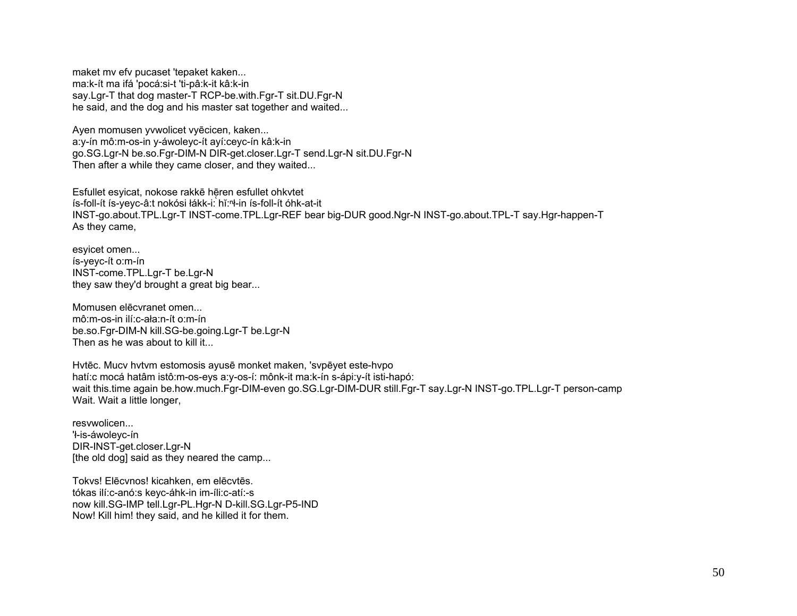maket my efv pucaset 'tepaket kaken... ma:k-ít ma ifá 'pocá:si-t 'ti-pâ:k-it kâ:k-in say.Lgr-T that dog master-T RCP-be.with.Fgr-T sit.DU.Fgr-N he said, and the dog and his master sat together and waited...

Ayen momusen yywolicet vyecicen, kaken... a:y-ín mô:m-os-in y-áwoleyc-ít ayí:ceyc-ín kâ:k-in go.SG.Lgr-N be.so.Fgr-DIM-N DIR-get.closer.Lgr-T send.Lgr-N sit.DU.Fgr-N Then after a while they came closer, and they waited...

Esfullet esyicat, nokose rakkē hēren esfullet ohkvtet ís-foll-ít ís-yeyc-â:t nokósi łákk-i: hǐ:<sup>n</sup>ł-in ís-foll-ít óhk-at-it INST-go.about.TPL.Lgr-T INST-come.TPL.Lgr-REF bear big-DUR good.Ngr-N INST-go.about.TPL-T say.Hgr-happen-T As they came,

esvicet omen... ís-yeyc-ít o:m-ín INST-come.TPL.Lgr-T be.Lgr-N they saw they'd brought a great big bear...

Momusen elecvranet omen... mô:m-os-in ilí:c-ała:n-ít o:m-ín be.so.Fgr-DIM-N kill.SG-be.going.Lgr-T be.Lgr-N Then as he was about to kill it...

Hytec. Mucy hytym estomosis ayuse monket maken, 'sypeyet este-hypo hatí: c mocá hatâm istô: m-os-eys a: y-os-í: mônk-it ma: k-ín s-ápi: y-ít isti-hapó: wait this time again be how much Fgr-DIM-even go.SG.Lgr-DIM-DUR still Fgr-T say.Lgr-N INST-go.TPL.Lgr-T person-camp Wait. Wait a little longer,

resywolicen... 'ł-is-áwoleyc-ín DIR-INST-get.closer.Lgr-N [the old dog] said as they neared the camp...

Tokys! Elēcynos! kicahken, em elēcytēs. tókas ilí:c-anó:s keyc-áhk-in im-íli:c-atí:-s now kill.SG-IMP tell.Lgr-PL.Hgr-N D-kill.SG.Lgr-P5-IND Now! Kill him! they said, and he killed it for them.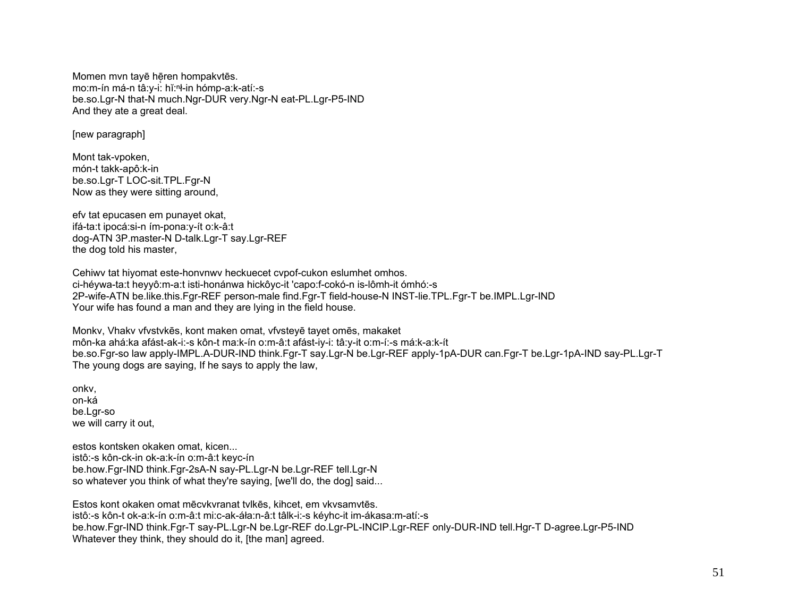Momen mvn tayē hēren hompakvtēs. mo:m-ín má-n tâ:y-i: hǐ:n-in hómp-a:k-atí:-s be.so.Lgr-N that-N much.Ngr-DUR very.Ngr-N eat-PL.Lgr-P5-IND And they ate a great deal.

[new paragraph]

Mont tak-vpoken, món-t takk-apô:k-in be.so.Lgr-T LOC-sit.TPL.Fgr-N Now as they were sitting around,

efv tat epucasen em punayet okat, ifá-ta:t ipocá:si-n ím-pona:y-ít o:k-â:t dog-ATN 3P.master-N D-talk.Lgr-T say.Lgr-REF the dog told his master.

Cehiwy tat hiyomat este-honynwy heckuecet cypof-cukon eslumhet omhos. ci-hévwa-ta:t hevvô:m-a:t isti-honánwa hickôvc-it 'capo:f-cokó-n is-lômh-it ómhó:-s 2P-wife-ATN be.like.this.Fgr-REF person-male find.Fgr-T field-house-N INST-lie.TPL.Fgr-T be.IMPL.Lgr-IND Your wife has found a man and they are lying in the field house.

Monky, Vhaky vfystykes, kont maken omat, vfysteye tayet omes, makaket môn-ka ahá:ka afást-ak-i:-s kôn-t ma:k-ín o:m-â:t afást-iy-i: tâ:y-it o:m-í:-s má:k-a:k-ít be.so.Fgr-so law apply-IMPL.A-DUR-IND think.Fgr-T say.Lgr-N be.Lgr-REF apply-1pA-DUR can.Fgr-T be.Lgr-1pA-IND say-PL.Lgr-T The young dogs are saying, If he says to apply the law,

onky. on-ká be.Lgr-so we will carry it out,

estos kontsken okaken omat, kicen... istô:-s kôn-ck-in ok-a:k-ín o:m-â:t kevc-ín be.how.Fgr-IND think.Fgr-2sA-N say-PL.Lgr-N be.Lgr-REF tell.Lgr-N so whatever you think of what they're saying, [we'll do, the dog] said...

Estos kont okaken omat mēcvkyranat tylkēs, kihcet, em ykysamytēs, istô:-s kôn-t ok-a:k-ín o:m-â:t mi:c-ak-áła:n-â:t tâlk-i:-s kéyhc-it im-ákasa:m-atí:-s be.how.Fgr-IND think.Fgr-T say-PL.Lgr-N be.Lgr-REF do.Lgr-PL-INCIP.Lgr-REF only-DUR-IND tell.Hgr-T D-agree.Lgr-P5-IND Whatever they think, they should do it, [the man] agreed.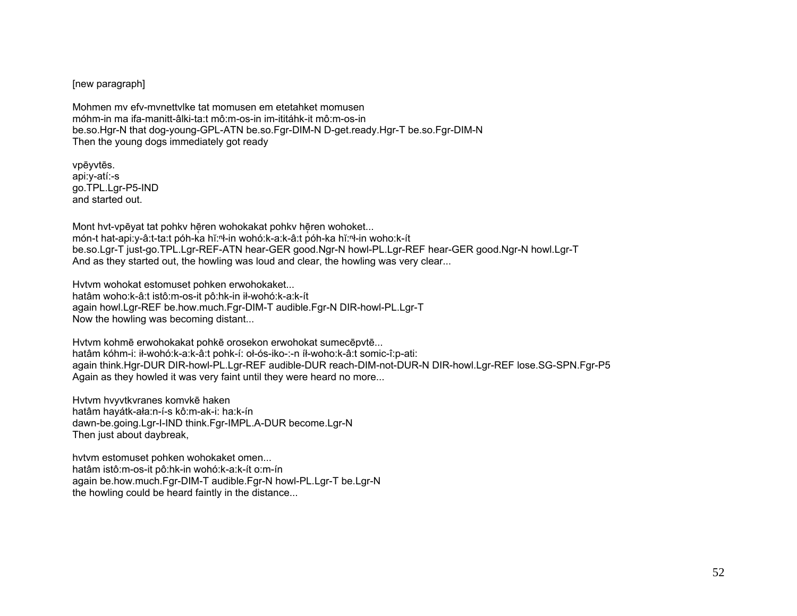[new paragraph]

Mohmen mv efv-mvnettvlke tat momusen em etetahket momusen móhm-in ma ifa-manitt-âlki-ta:t mô:m-os-in im-ititáhk-it mô:m-os-in be.so.Hgr-N that dog-young-GPL-ATN be.so.Fgr-DIM-N D-get.ready.Hgr-T be.so.Fgr-DIM-N Then the young dogs immediately got ready

vpēyvtēs. api:y-atí:-s go.TPL.Lgr-P5-IND and started out.

Mont hvt-vpēyat tat pohkv hēren wohokakat pohkv hēren wohoket... món-t hat-api:y-â:t-ta:t póh-ka hĭ:ⁿł-in wohó:k-a:k-â:t póh-ka hĭ:ⁿł-in woho:k-ít be.so.Lgr-T just-go.TPL.Lgr-REF-ATN hear-GER good.Ngr-N howl-PL.Lgr-REF hear-GER good.Ngr-N howl.Lgr-T And as they started out, the howling was loud and clear, the howling was very clear...

Hvtvm wohokat estomuset pohken erwohokaket... hatâm woho:k-â:t istô:m-os-it pô:hk-in ił-wohó:k-a:k-ít again howl.Lgr-REF be.how.much.Fgr-DIM-T audible.Fgr-N DIR-howl-PL.Lgr-T Now the howling was becoming distant...

Hvtvm kohmē erwohokakat pohkē orosekon erwohokat sumecēpvtē... hatâm kóhm-i: ił-wohó:k-a:k-â:t pohk-í: oł-ós-iko-:-n íł-woho:k-â:t somic-î:p-ati: again think.Hgr-DUR DIR-howl-PL.Lgr-REF audible-DUR reach-DIM-not-DUR-N DIR-howl.Lgr-REF lose.SG-SPN.Fgr-P5 Again as they howled it was very faint until they were heard no more...

Hvtvm hvyvtkvranes komvkē haken hatâm hayátk-ała:n-í-s kô:m-ak-i: ha:k-ín dawn-be.going.Lgr-I-IND think.Fgr-IMPL.A-DUR become.Lgr-N Then just about daybreak,

hvtvm estomuset pohken wohokaket omen... hatâm istô:m-os-it pô:hk-in wohó:k-a:k-ít o:m-ín again be.how.much.Fgr-DIM-T audible.Fgr-N howl-PL.Lgr-T be.Lgr-N the howling could be heard faintly in the distance...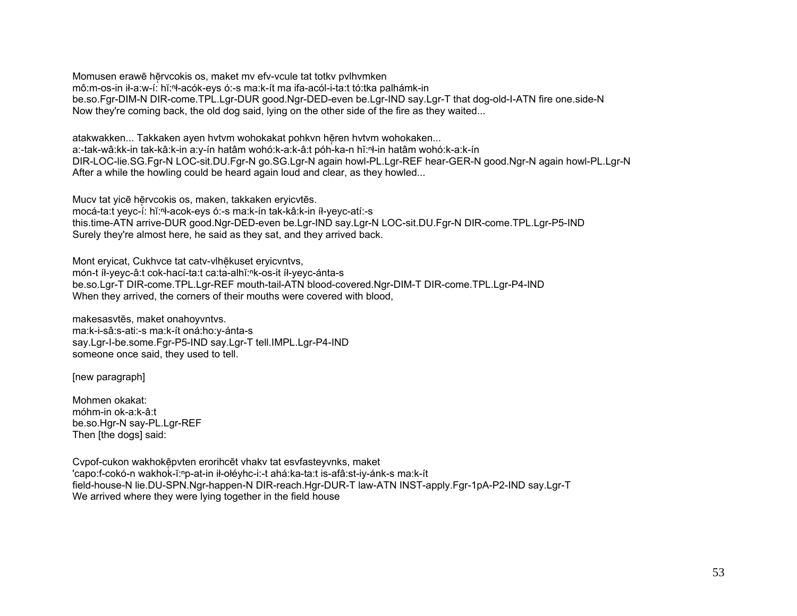Momusen erawē hērvcokis os, maket mv efv-vcule tat totkv pvlhvmken mô:m-os-in ił-a:w-í: hĭ:ⁿł-acók-eys ó:-s ma:k-ít ma ifa-acól-i-ta:t tó:tka palhámk-in be.so.Fgr-DIM-N DIR-come.TPL.Lgr-DUR good.Ngr-DED-even be.Lgr-IND say.Lgr-T that dog-old-I-ATN fire one.side-N Now they're coming back, the old dog said, lying on the other side of the fire as they waited...

atakwakken... Takkaken ayen hvtvm wohokakat pohkvn hēren hvtvm wohokaken... a:-tak-wâ:kk-in tak-kâ:k-in a:y-ín hatâm wohó:k-a:k-â:t póh-ka-n hĭ:ⁿł-in hatâm wohó:k-a:k-ín DIR-LOC-lie.SG.Fgr-N LOC-sit.DU.Fgr-N go.SG.Lgr-N again howl-PL.Lgr-REF hear-GER-N good.Ngr-N again howl-PL.Lgr-N After a while the howling could be heard again loud and clear, as they howled...

Mucv tat yicē hērvcokis os, maken, takkaken eryicvtēs. mocá-ta:t yeyc-í: hĭ:ⁿł-acok-eys ó:-s ma:k-ín tak-kâ:k-in íł-yeyc-atí:-s this.time-ATN arrive-DUR good.Ngr-DED-even be.Lgr-IND say.Lgr-N LOC-sit.DU.Fgr-N DIR-come.TPL.Lgr-P5-IND Surely they're almost here, he said as they sat, and they arrived back.

Mont ervicat, Cukhyce tat caty-vlhēkuset ervicyntys, món-t íł-yeyc-â:t cok-hací-ta:t ca:ta-alhĭ:<sup>n</sup>k-os-it íł-yeyc-ánta-s be.so.Lgr-T DIR-come.TPL.Lgr-REF mouth-tail-ATN blood-covered.Ngr-DIM-T DIR-come.TPL.Lgr-P4-IND When they arrived, the corners of their mouths were covered with blood,

makesasvtēs, maket onahoyvntvs. ma:k-i-sâ:s-ati:-s ma:k-ít oná:ho:y-ánta-s say.Lgr-I-be.some.Fgr-P5-IND say.Lgr-T tell.IMPL.Lgr-P4-IND someone once said, they used to tell.

[new paragraph]

Mohmen okakat: móhm-in ok-a:k-â:t be.so.Hgr-N say-PL.Lgr-REF Then [the dogs] said:

Cvpof-cukon wakhokē̜pvten erorihcēt vhakv tat esvfasteyvnks, maket 'capo:f-cokó-n wakhok-ĭ:<sup>ⁿ</sup>p-at-in ił-ołéyhc-i:-t ahá:ka-ta:t is-afâ:st-iy-ánk-s ma:k-ít field-house-N lie.DU-SPN.Ngr-happen-N DIR-reach.Hgr-DUR-T law-ATN INST-apply.Fgr-1pA-P2-IND say.Lgr-T We arrived where they were lying together in the field house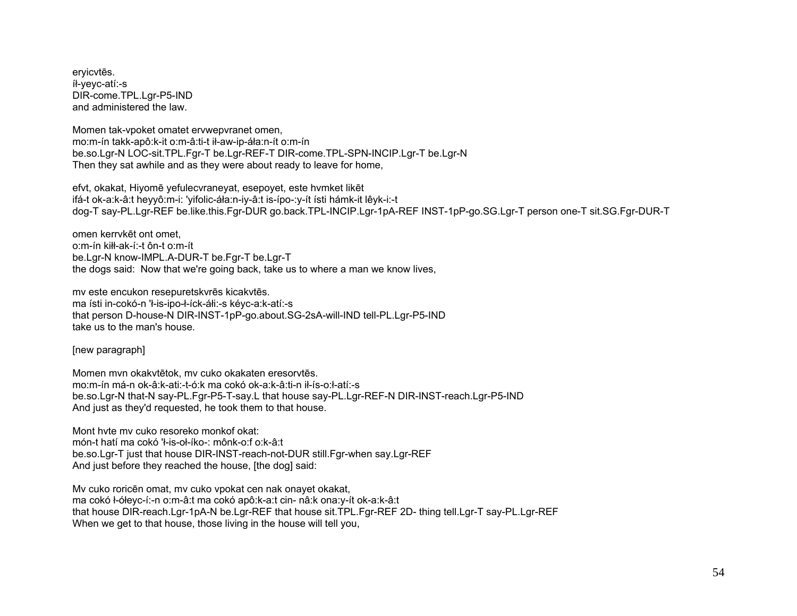eryicvtēs. íł-yeyc-atí:-s DIR-come.TPL.Lgr-P5-IND and administered the law.

Momen tak-vpoket omatet ervwepvranet omen, mo:m-ín takk-apô:k-it o:m-â:ti-t ił-aw-ip-áła:n-ít o:m-ín be.so.Lar-N LOC-sit.TPL.Far-T be.Lar-REF-T DIR-come.TPL-SPN-INCIP.Lar-T be.Lar-N Then they sat awhile and as they were about ready to leave for home.

efyt, okakat. Hivomē vefulecyranevat, esepovet, este hymket likēt ifá-t ok-a:k-â:t heyyô:m-i: 'yifolic-áła:n-iy-â:t is-ípo-:y-ít ísti hámk-it lêyk-i:-t dog-T say-PL.Lgr-REF be.like.this.Fgr-DUR go.back.TPL-INCIP.Lgr-1pA-REF INST-1pP-go.SG.Lgr-T person one-T sit.SG.Fgr-DUR-T

omen kerryket ont omet. o:m-ín kiłł-ak-í:-t ôn-t o:m-ít be.Lgr-N know-IMPL.A-DUR-T be.Fgr-T be.Lgr-T the dogs said: Now that we're going back, take us to where a man we know lives,

mv este encukon resepuretskvrēs kicakvtēs. ma ísti in-cokó-n 'ł-is-ipo-ł-íck-áłi:-s kévc-a:k-atí:-s that person D-house-N DIR-INST-1pP-go.about.SG-2sA-will-IND tell-PL.Lgr-P5-IND take us to the man's house.

[new paragraph]

Momen myn okakytētok, my cuko okakaten eresorytēs. mo:m-ín má-n ok-â:k-ati:-t-ó:k ma cokó ok-a:k-â:ti-n ił-ís-o:ł-atí:-s be.so.Lgr-N that-N say-PL.Fgr-P5-T-say.L that house say-PL.Lgr-REF-N DIR-INST-reach.Lgr-P5-IND And iust as they'd requested, he took them to that house.

Mont hyte my cuko resoreko monkof okat: món-t hatí ma cokó 'ł-is-oł-íko-: mônk-o:f o:k-â:t be.so.Lgr-T just that house DIR-INST-reach-not-DUR still.Fgr-when say.Lgr-REF And just before they reached the house, [the dog] said:

My cuko roricen omat, my cuko vpokat cen nak onayet okakat, ma cokó ł-ółeyc-í:-n o:m-â:t ma cokó apô:k-a:t cin- nâ:k ona:y-ít ok-a:k-â:t that house DIR-reach.Lgr-1pA-N be.Lgr-REF that house sit.TPL.Fgr-REF 2D- thing tell.Lgr-T say-PL.Lgr-REF When we get to that house, those living in the house will tell you,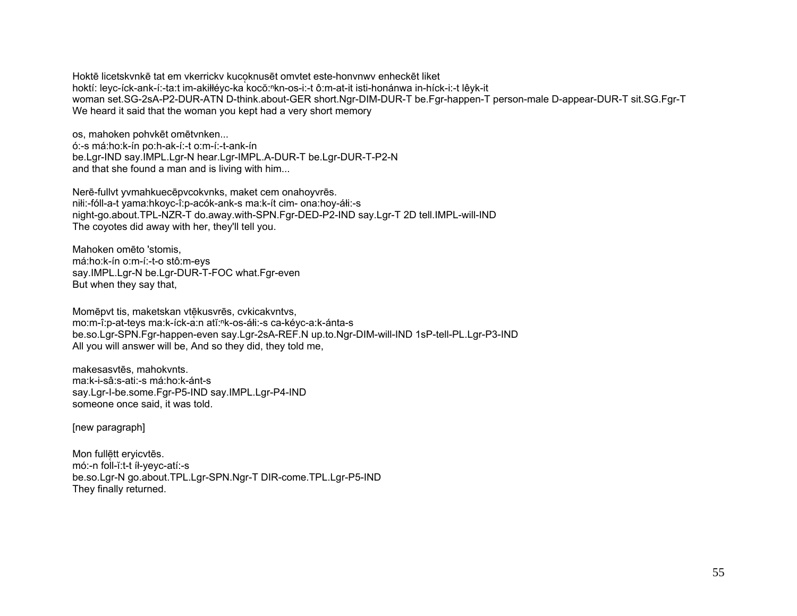Hoktē licetskynkē tat em ykerricky kucoknusēt omytet este-honynwy enheckēt liket hoktí: leyc-íck-ank-í:-ta:t im-akiłłéyc-ka kocŏ:<sup>n</sup>kn-os-i:-t ô:m-at-it isti-honánwa in-híck-i:-t lêyk-it woman set.SG-2sA-P2-DUR-ATN D-think.about-GER short.Ngr-DIM-DUR-T be.Fgr-happen-T person-male D-appear-DUR-T sit.SG.Fgr-T We heard it said that the woman you kept had a very short memory

os, mahoken pohykēt omētvnken... ó:-s má:ho:k-ín po:h-ak-í:-t o:m-í:-t-ank-ín be.Lgr-IND say.IMPL.Lgr-N hear.Lgr-IMPL.A-DUR-T be.Lgr-DUR-T-P2-N and that she found a man and is living with him...

Nerē-fullvt yvmahkuecēpvcokvnks, maket cem onahoyvrēs. nili:-fóll-a-t vama:hkoyc-î:p-acók-ank-s ma:k-ít cim- ona:hoy-áli:-s night-go.about.TPL-NZR-T do.away.with-SPN.Fgr-DED-P2-IND say.Lgr-T 2D tell.IMPL-will-IND The coyotes did away with her, they'll tell you.

Mahoken omēto 'stomis. má:ho:k-ín o:m-í:-t-o stô:m-eys say.IMPL.Lgr-N be.Lgr-DUR-T-FOC what.Fgr-even But when they say that.

Momēpvt tis, maketskan vtēkusvrēs, cvkicakvntvs, mo:m-î:p-at-teys ma:k-íck-a:n atĭ:nk-os-áłi:-s ca-kéyc-a:k-ánta-s be.so.Lgr-SPN.Fgr-happen-even say.Lgr-2sA-REF.N up.to.Ngr-DIM-will-IND 1sP-tell-PL.Lgr-P3-IND All you will answer will be, And so they did, they told me,

makesasytēs, mahokynts. ma:k-i-sâ:s-ati:-s má:ho:k-ánt-s say.Lgr-l-be.some.Fgr-P5-IND say.IMPL.Lgr-P4-IND someone once said, it was told.

[new paragraph]

Mon fullett ervicytes. mó:-n foll-ĭ:t-t íł-vevc-atí:-s be.so.Lgr-N go.about.TPL.Lgr-SPN.Ngr-T DIR-come.TPL.Lgr-P5-IND They finally returned.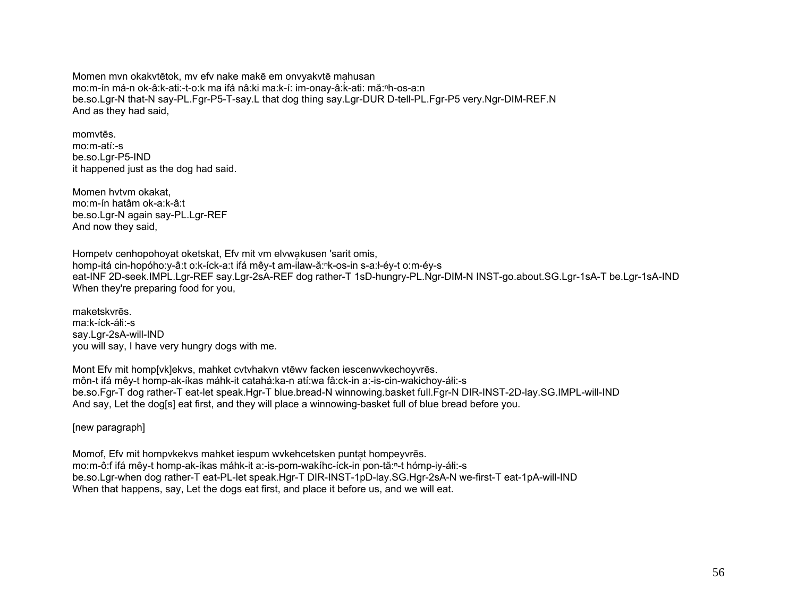Momen mvn okakvtētok, mv efv nake makē em onvyakvtē mahusan mo:m-ín má-n ok-â:k-ati:-t-o:k ma ifá nâ:ki ma:k-í: im-onay-â:k-ati: mă:<sup>ⁿ</sup>h-os-a:n be.so.Lgr-N that-N say-PL.Fgr-P5-T-say.L that dog thing say.Lgr-DUR D-tell-PL.Fgr-P5 very.Ngr-DIM-REF.N And as they had said,

momvtēs. mo:m-atí:-s be.so.Lgr-P5-IND it happened just as the dog had said.

Momen hvtvm okakat, mo:m-ín hatâm ok-a:k-â:t be.so.Lgr-N again say-PL.Lgr-REF And now they said,

Hompety cenhopohoyat oketskat, Efv mit vm elvwakusen 'sarit omis, homp-itá cin-hopóho:y-â:t o:k-íck-a:t ifá mêy-t am-ilaw-ă:<sup>ⁿ</sup>k-os-in s-a:ł-éy-t o:m-éy-s eat-INF 2D-seek.IMPL.Lgr-REF say.Lgr-2sA-REF dog rather-T 1sD-hungry-PL.Ngr-DIM-N INST-go.about.SG.Lgr-1sA-T be.Lgr-1sA-IND When they're preparing food for you,

maketskvrēs. ma:k-íck-áłi:-s say.Lgr-2sA-will-IND you will say, I have very hungry dogs with me.

Mont Efv mit homp[vk]ekvs, mahket cvtvhakvn vtēwv facken iescenwvkechoyvrēs. môn-t ifá mêy-t homp-ak-íkas máhk-it catahá:ka-n atí:wa fâ:ck-in a:-is-cin-wakichoy-áłi:-s be.so.Fgr-T dog rather-T eat-let speak.Hgr-T blue.bread-N winnowing.basket full.Fgr-N DIR-INST-2D-lay.SG.IMPL-will-IND And say, Let the dog[s] eat first, and they will place a winnowing-basket full of blue bread before you.

[new paragraph]

Momof. Efy mit hompykekys mahket iespum wykehcetsken puntat hompeyyres. mo:m-ô:f ifá mêy-t homp-ak-íkas máhk-it a:-is-pom-wakíhc-íck-in pon-tă:<sup>ⁿ</sup>-t hómp-iy-áłi:-s be.so.Lgr-when dog rather-T eat-PL-let speak.Hgr-T DIR-INST-1pD-lay.SG.Hgr-2sA-N we-first-T eat-1pA-will-IND When that happens, say, Let the dogs eat first, and place it before us, and we will eat.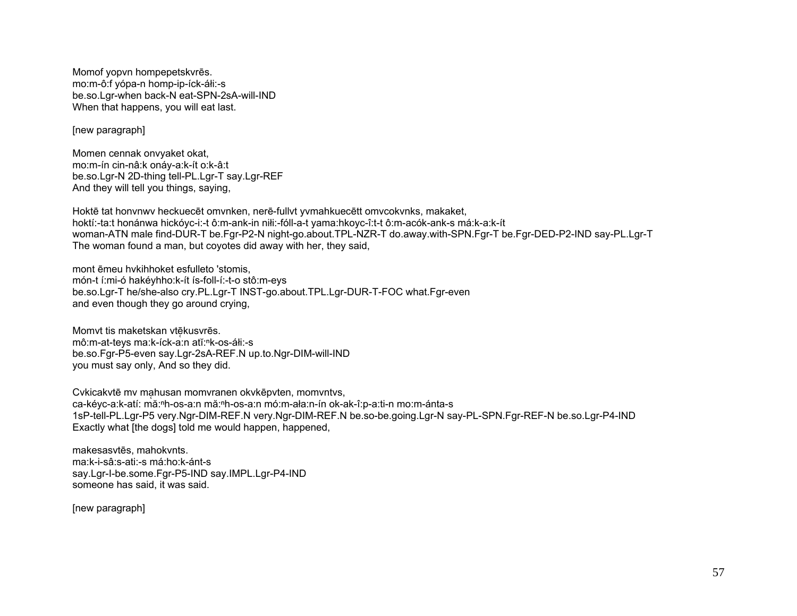Momof yopvn hompepetskvrēs. mo:m-ô:f yópa-n homp-ip-íck-áłi:-s be.so.Lgr-when back-N eat-SPN-2sA-will-IND When that happens, you will eat last.

[new paragraph]

Momen cennak onvyaket okat, mo:m-ín cin-nâ:k onáy-a:k-ít o:k-â:t be.so.Lgr-N 2D-thing tell-PL.Lgr-T say.Lgr-REF And they will tell you things, saying,

Hoktē tat honvnwv heckuecēt omvnken, nerē-fullvt yvmahkuecētt omvcokvnks, makaket, hoktí:-ta:t honánwa hickóyc-i:-t ô:m-ank-in niłi:-fóll-a-t yama:hkoyc-î:t-t ô:m-acók-ank-s má:k-a:k-ít woman-ATN male find-DUR-T be.Fgr-P2-N night-go.about.TPL-NZR-T do.away.with-SPN.Fgr-T be.Fgr-DED-P2-IND say-PL.Lgr-T The woman found a man, but coyotes did away with her, they said,

mont ēmeu hvkihhoket esfulleto 'stomis, món-t í:mi-ó hakéyhho:k-ít ís-foll-í:-t-o stô:m-eys be.so.Lgr-T he/she-also cry.PL.Lgr-T INST-go.about.TPL.Lgr-DUR-T-FOC what.Fgr-even and even though they go around crying,

Momvt tis maketskan vtēkusvrēs. mô:m-at-teys ma:k-íck-a:n atĭ:<sup>n</sup>k-os-áłi:-s be.so.Fgr-P5-even say.Lgr-2sA-REF.N up.to.Ngr-DIM-will-IND you must say only, And so they did.

Cvkicakvtē mv ma husan momvranen okvkēpvten, momvntvs, ̜ ca-kéyc-a:k-atí: mă:<sup>ⁿ</sup>h-os-a:n mă:<sup>ⁿ</sup>h-os-a:n mó:m-ała:n-ín ok-ak-î:p-a:ti-n mo:m-ánta-s 1sP-tell-PL.Lgr-P5 very.Ngr-DIM-REF.N very.Ngr-DIM-REF.N be.so-be.going.Lgr-N say-PL-SPN.Fgr-REF-N be.so.Lgr-P4-IND Exactly what [the dogs] told me would happen, happened,

makesasvtēs, mahokvnts. ma:k-i-sâ:s-ati:-s má:ho:k-ánt-s say.Lgr-I-be.some.Fgr-P5-IND say.IMPL.Lgr-P4-IND someone has said, it was said.

[new paragraph]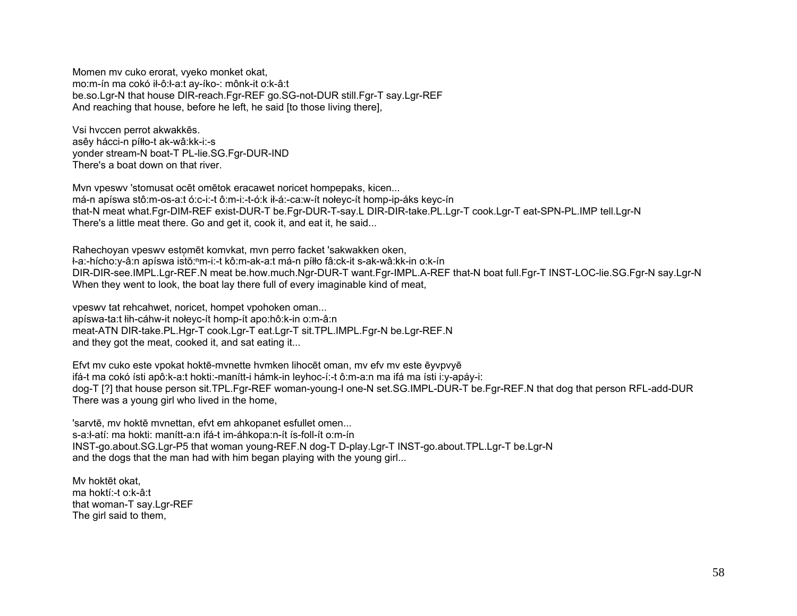Momen my cuko erorat, vyeko monket okat, mo:m-ín ma cokó ił-ô:ł-a:t ay-íko-: mônk-it o:k-â:t be.so.Lgr-N that house DIR-reach.Fgr-REF go.SG-not-DUR still.Fgr-T say.Lgr-REF And reaching that house, before he left, he said [to those living there],

Vsi hyccen perrot akwakkēs. asêy hácci-n píłło-t ak-wâ:kk-i:-s yonder stream-N boat-T PL-lie.SG.Fgr-DUR-IND There's a boat down on that river.

Myn ypeswy 'stomusat ocet ometok eracawet noricet hompepaks, kicen... má-n apíswa stô:m-os-a:t ó:c-i:-t ô:m-i:-t-ó:k ił-á:-ca:w-ít nołeyc-ít homp-ip-áks keyc-ín that-N meat what.Fgr-DIM-REF exist-DUR-T be.Fgr-DUR-T-say.L DIR-DIR-take.PL.Lgr-T cook.Lgr-T eat-SPN-PL.IMP tell.Lgr-N There's a little meat there. Go and get it, cook it, and eat it, he said...

Rahechoyan vpeswy estomēt komykat, myn perro facket 'sakwakken oken, ł-a:-hícho:y-â:n apíswa istŏ:<sup>n</sup>m-i:-t kô:m-ak-a:t má-n píłło fâ:ck-it s-ak-wâ:kk-in o:k-ín DIR-DIR-see.IMPL.Lgr-REF.N meat be.how.much.Ngr-DUR-T want.Fgr-IMPL.A-REF that-N boat full.Fgr-T INST-LOC-lie.SG.Fgr-N say.Lgr-N When they went to look, the boat lay there full of every imaginable kind of meat.

vpeswy tat rehcahwet, noricet, hompet vpohoken oman... apíswa-ta:t łih-cáhw-it nołeyc-ít homp-ít apo:hô:k-in o:m-â:n meat-ATN DIR-take.PL.Hgr-T cook.Lgr-T eat.Lgr-T sit.TPL.IMPL.Fgr-N be.Lgr-REF.N and they got the meat, cooked it, and sat eating it...

Efyt my cuko este ypokat hoktē-mynette hymken lihocēt oman, my efy my este ēyvpyyē ifá-t ma cokó ísti apô:k-a:t hokti:-manítt-i hámk-in leyhoc-í:-t ô:m-a:n ma ifá ma ísti i:y-apáy-i: dog-T [?] that house person sit.TPL.Fgr-REF woman-young-I one-N set.SG.IMPL-DUR-T be.Fgr-REF.N that dog that person RFL-add-DUR There was a young girl who lived in the home,

'sarvtē, my hoktē mynettan, efyt em ahkopanet esfullet omen... s-a:ł-atí: ma hokti: manítt-a:n ifá-t im-áhkopa:n-ít ís-foll-ít o:m-ín INST-go.about.SG.Lgr-P5 that woman young-REF.N dog-T D-play.Lgr-T INST-go.about.TPL.Lgr-T be.Lgr-N and the dogs that the man had with him began playing with the young girl...

My hoktet okat. ma hoktí:-t o:k-â:t that woman-T sav.Lgr-REF The girl said to them.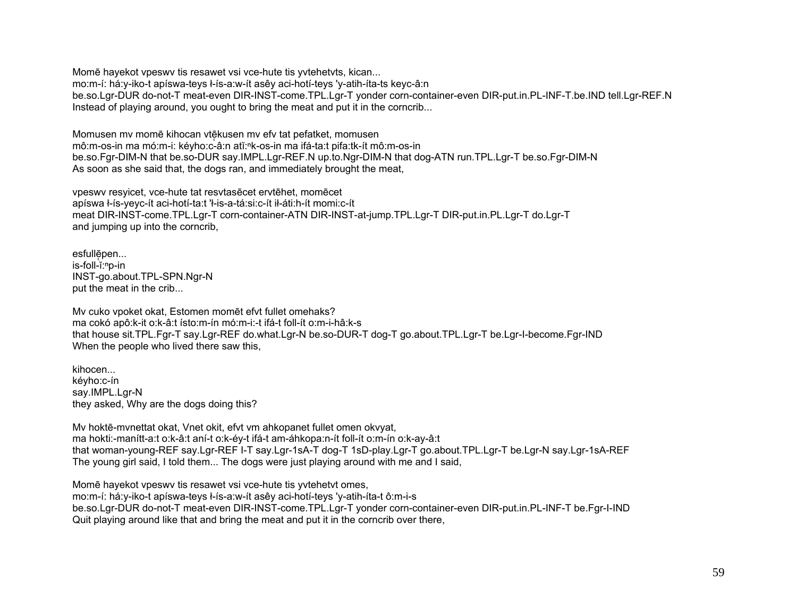Mome hayekot vpeswy tis resawet vsi vce-hute tis yytehetyts, kican... mo:m-í: há:y-iko-t apíswa-teys ł-ís-a:w-ít asêy aci-hotí-teys 'y-atih-íta-ts keyc-â:n be.so.Lgr-DUR do-not-T meat-even DIR-INST-come.TPL.Lgr-T vonder corn-container-even DIR-put.in.PL-INF-T.be.IND tell.Lgr-REF.N Instead of playing around, you ought to bring the meat and put it in the corncrib...

Momusen my mome kihocan vtekusen my efy tat pefatket, momusen mô:m-os-in ma mó:m-i: kéyho:c-â:n atĭ:<sup>n</sup>k-os-in ma ifá-ta:t pifa:tk-ít mô:m-os-in be.so.Fgr-DIM-N that be.so-DUR say.IMPL.Lgr-REF.N up.to.Ngr-DIM-N that dog-ATN run.TPL.Lgr-T be.so.Fgr-DIM-N As soon as she said that, the dogs ran, and immediately brought the meat,

vpeswy resyicet, yce-hute tat resytasecet erytehet, momecet apíswa ł-ís-yeyc-ít aci-hotí-ta:t 'ł-is-a-tá:si:c-ít ił-áti:h-ít momi:c-ít meat DIR-INST-come.TPL.Lgr-T corn-container-ATN DIR-INST-at-jump.TPL.Lgr-T DIR-put.in.PL.Lgr-T do.Lgr-T and jumping up into the cornerib,

esfullēpen... is-foll-ĭ:<sup>n</sup>p-in INST-go.about.TPL-SPN.Ngr-N put the meat in the crib...

My cuko vpoket okat, Estomen momet efvt fullet omehaks? ma cokó apô: k-it o: k-â: t ísto: m-ín mó: m-i: -t ifá-t foll-ít o: m-i-hâ: k-s that house sit.TPL.Fgr-T say.Lgr-REF do.what.Lgr-N be.so-DUR-T dog-T go.about.TPL.Lgr-T be.Lgr-I-become.Fgr-IND When the people who lived there saw this.

kihocen... kéyho:c-ín say.IMPL.Lgr-N they asked, Why are the dogs doing this?

My hokte-mynettat okat. Vnet okit, efyt ym ahkopanet fullet omen okyvat. ma hokti:-manítt-a:t o:k-â:t aní-t o:k-éy-t ifá-t am-áhkopa:n-ít foll-ít o:m-ín o:k-ay-â:t that woman-young-REF say.Lgr-REF I-T say.Lgr-1sA-T dog-T 1sD-play.Lgr-T go.about.TPL.Lgr-T be.Lgr-N say.Lgr-1sA-REF The young girl said, I told them... The dogs were just playing around with me and I said,

Mome hayekot vpeswy tis resawet vsi vce-hute tis yytehetyt omes. mo:m-í: há:y-iko-t apíswa-teys ł-ís-a:w-ít asêy aci-hotí-teys 'y-atih-íta-t ô:m-i-s be.so.Lgr-DUR do-not-T meat-even DIR-INST-come.TPL.Lgr-T yonder corn-container-even DIR-put.in.PL-INF-T be.Fgr-I-IND Quit playing around like that and bring the meat and put it in the corncrib over there.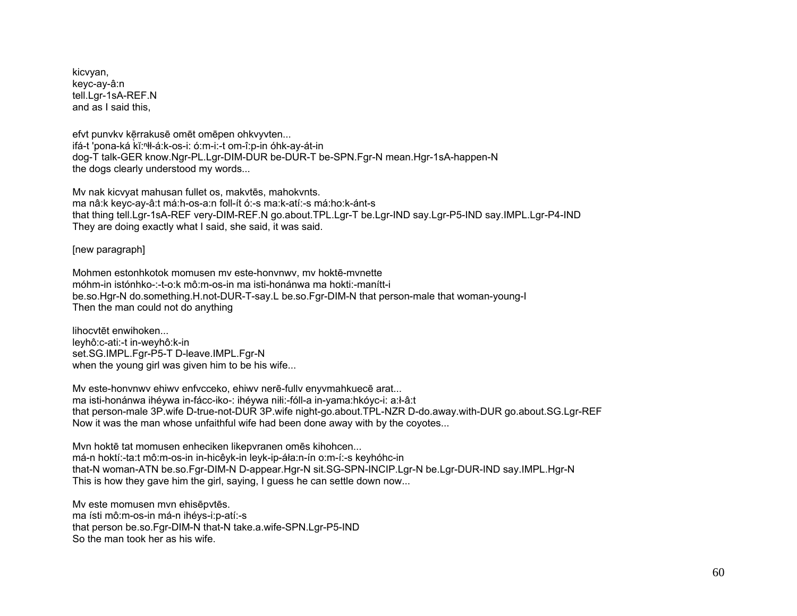kicvyan, keyc-ay-â:n tell.Lgr-1sA-REF.N and as I said this,

efvt punvkv kērrakusē omēt omēpen ohkvyvten... ifá-t 'pona-ká kĭ:ⁿłł-á:k-os-i: ó:m-i:-t om-î:p-in óhk-ay-át-in dog-T talk-GER know.Ngr-PL.Lgr-DIM-DUR be-DUR-T be-SPN.Fgr-N mean.Hgr-1sA-happen-N the dogs clearly understood my words...

Mv nak kicvyat mahusan fullet os, makvtēs, mahokvnts. ma nâ:k keyc-ay-â:t má:h-os-a:n foll-ít ó:-s ma:k-atí:-s má:ho:k-ánt-s that thing tell.Lgr-1sA-REF very-DIM-REF.N go.about.TPL.Lgr-T be.Lgr-IND say.Lgr-P5-IND say.IMPL.Lgr-P4-IND They are doing exactly what I said, she said, it was said.

[new paragraph]

Mohmen estonhkotok momusen mv este-honvnwv, mv hoktē-mvnette móhm-in istónhko-:-t-o:k mô:m-os-in ma isti-honánwa ma hokti:-manítt-i be.so.Hgr-N do.something.H.not-DUR-T-say.L be.so.Fgr-DIM-N that person-male that woman-young-I Then the man could not do anything

lihocvtēt enwihoken... leyhô:c-ati:-t in-weyhô:k-in set.SG.IMPL.Fgr-P5-T D-leave.IMPL.Fgr-N when the young girl was given him to be his wife...

Mv este-honvnwv ehiwv enfvcceko, ehiwv nerē-fullv enyvmahkuecē arat... ma isti-honánwa ihéywa in-fácc-iko-: ihéywa niłi:-fóll-a in-yama:hkóyc-i: a:ł-â:t that person-male 3P.wife D-true-not-DUR 3P.wife night-go.about.TPL-NZR D-do.away.with-DUR go.about.SG.Lgr-REF Now it was the man whose unfaithful wife had been done away with by the coyotes...

Mvn hoktē tat momusen enheciken likepvranen omēs kihohcen... má-n hoktí:-ta:t mô:m-os-in in-hicêyk-in leyk-ip-áła:n-ín o:m-í:-s keyhóhc-in that-N woman-ATN be.so.Fgr-DIM-N D-appear.Hgr-N sit.SG-SPN-INCIP.Lgr-N be.Lgr-DUR-IND say.IMPL.Hgr-N This is how they gave him the girl, saying, I guess he can settle down now...

Mv este momusen mvn ehisēpvtēs. ma ísti mô:m-os-in má-n ihéys-i:p-atí:-s that person be.so.Fgr-DIM-N that-N take.a.wife-SPN.Lgr-P5-IND So the man took her as his wife.